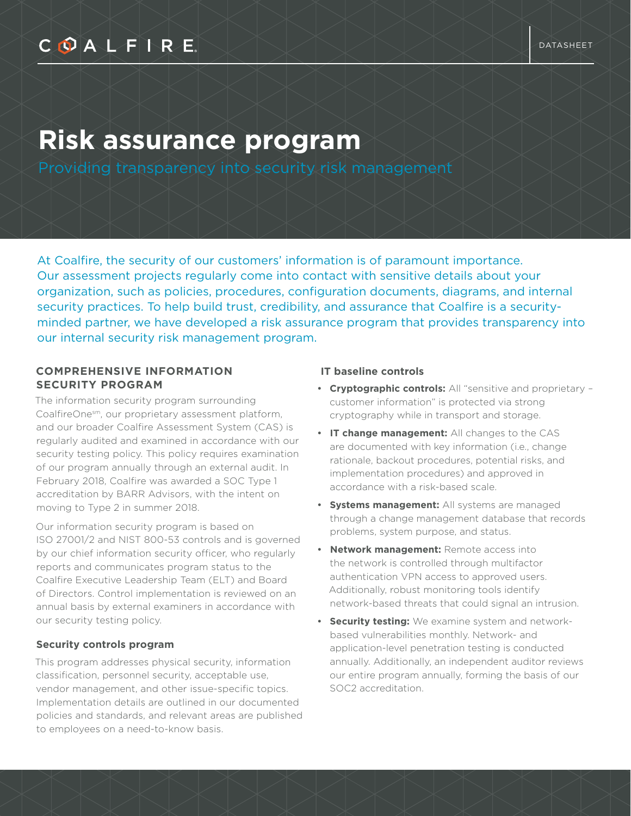## COALFIRE

# **Risk assurance program**

At Coalfire, the security of our customers' information is of paramount importance. Our assessment projects regularly come into contact with sensitive details about your organization, such as policies, procedures, configuration documents, diagrams, and internal security practices. To help build trust, credibility, and assurance that Coalfire is a securityminded partner, we have developed a risk assurance program that provides transparency into our internal security risk management program.

#### **COMPREHENSIVE INFORMATION SECURITY PROGRAM**

The information security program surrounding CoalfireOnesm, our proprietary assessment platform, and our broader Coalfire Assessment System (CAS) is regularly audited and examined in accordance with our security testing policy. This policy requires examination of our program annually through an external audit. In February 2018, Coalfire was awarded a SOC Type 1 accreditation by BARR Advisors, with the intent on moving to Type 2 in summer 2018.

Our information security program is based on ISO 27001/2 and NIST 800-53 controls and is governed by our chief information security officer, who regularly reports and communicates program status to the Coalfire Executive Leadership Team (ELT) and Board of Directors. Control implementation is reviewed on an annual basis by external examiners in accordance with our security testing policy.

#### **Security controls program**

This program addresses physical security, information classification, personnel security, acceptable use, vendor management, and other issue-specific topics. Implementation details are outlined in our documented policies and standards, and relevant areas are published to employees on a need-to-know basis.

#### **IT baseline controls**

- **Cryptographic controls:** All "sensitive and proprietary customer information" is protected via strong cryptography while in transport and storage.
- **IT change management:** All changes to the CAS are documented with key information (i.e., change rationale, backout procedures, potential risks, and implementation procedures) and approved in accordance with a risk-based scale.
- **Systems management:** All systems are managed through a change management database that records problems, system purpose, and status.
- **Network management:** Remote access into the network is controlled through multifactor authentication VPN access to approved users. Additionally, robust monitoring tools identify network-based threats that could signal an intrusion.
- **Security testing:** We examine system and networkbased vulnerabilities monthly. Network- and application-level penetration testing is conducted annually. Additionally, an independent auditor reviews our entire program annually, forming the basis of our SOC2 accreditation.